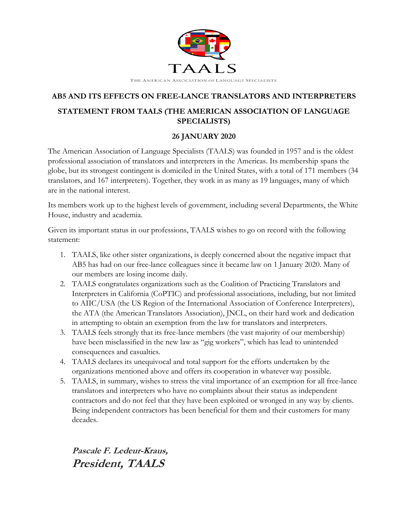

## **AB5 AND ITS EFFECTS ON FREE-LANCE TRANSLATORS AND INTERPRETERS STATEMENT FROM TAALS (THE AMERICAN ASSOCIATION OF LANGUAGE SPECIALISTS)**

## **26 JANUARY 2020**

The American Association of Language Specialists (TAALS) was founded in 1957 and is the oldest professional association of translators and interpreters in the Americas. Its membership spans the globe, but its strongest contingent is domiciled in the United States, with a total of 171 members (34 translators, and 167 interpreters). Together, they work in as many as 19 languages, many of which are in the national interest.

Its members work up to the highest levels of government, including several Departments, the White House, industry and academia.

Given its important status in our professions, TAALS wishes to go on record with the following statement:

- 1. TAALS, like other sister organizations, is deeply concerned about the negative impact that AB5 has had on our free-lance colleagues since it became law on 1 January 2020. Many of our members are losing income daily.
- 2. TAALS congratulates organizations such as the Coalition of Practicing Translators and Interpreters in California (CoPTIC) and professional associations, including, but not limited to AIIC/USA (the US Region of the International Association of Conference Interpreters), the ATA (the American Translators Association), JNCL, on their hard work and dedication in attempting to obtain an exemption from the law for translators and interpreters.
- 3. TAALS feels strongly that its free-lance members (the vast majority of our membership) have been misclassified in the new law as "gig workers", which has lead to unintended consequences and casualties.
- 4. TAALS declares its unequivocal and total support for the efforts undertaken by the organizations mentioned above and offers its cooperation in whatever way possible.
- 5. TAALS, in summary, wishes to stress the vital importance of an exemption for all free-lance translators and interpreters who have no complaints about their status as independent contractors and do not feel that they have been exploited or wronged in any way by clients. Being independent contractors has been beneficial for them and their customers for many decades.

**Pascale F. Ledeur-Kraus, President, TAALS**